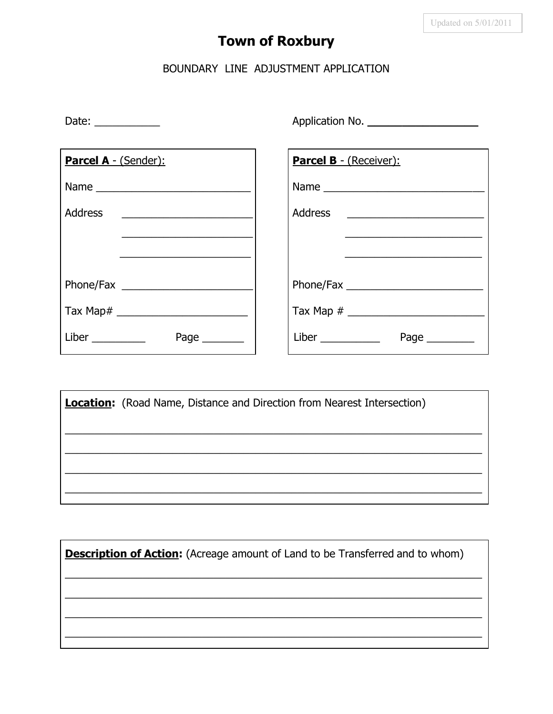## **Town of Roxbury**

## BOUNDARY LINE ADJUSTMENT APPLICATION

| Date: $\frac{1}{\sqrt{1-\frac{1}{2}}\cdot\frac{1}{2}}$  |                             |
|---------------------------------------------------------|-----------------------------|
| Parcel A - (Sender):                                    | Parcel B - (Receiver):      |
| Name                                                    |                             |
| Address<br><u> 1980 - Andrea Andrew Maria (b. 1980)</u> |                             |
|                                                         |                             |
|                                                         |                             |
|                                                         |                             |
|                                                         |                             |
| Liber $\_\_$<br>Page $\_\_$                             | Liber $\_\_$<br>Page $\_\_$ |

**Location:** (Road Name, Distance and Direction from Nearest Intersection)

**Description of Action:** (Acreage amount of Land to be Transferred and to whom)